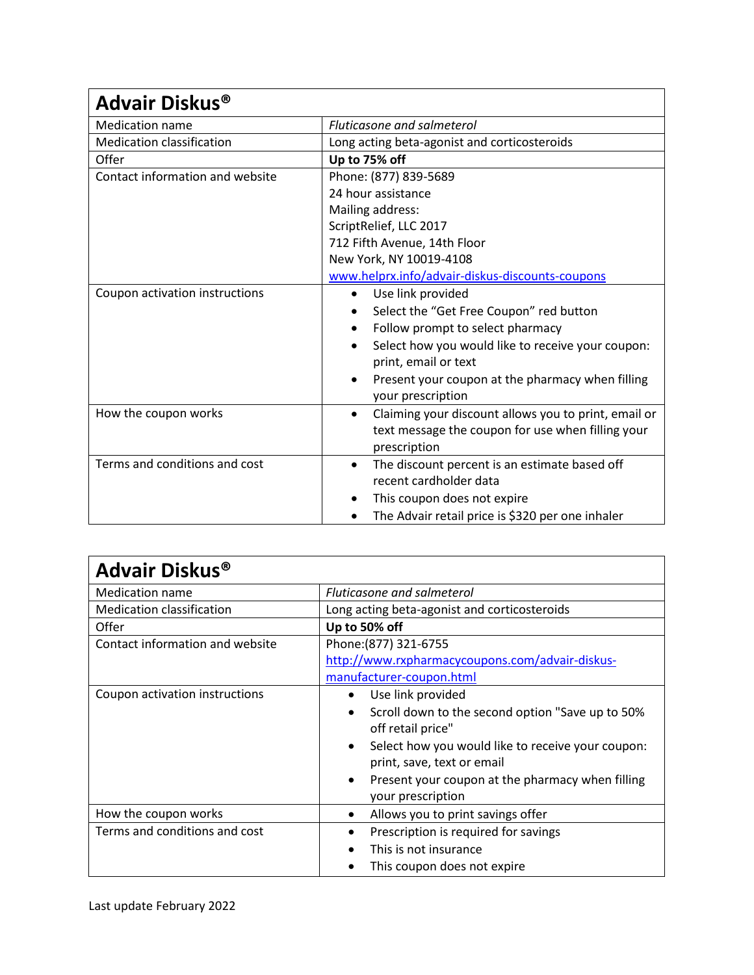| Advair Diskus <sup>®</sup>       |                                                                   |  |
|----------------------------------|-------------------------------------------------------------------|--|
| <b>Medication name</b>           | Fluticasone and salmeterol                                        |  |
| <b>Medication classification</b> | Long acting beta-agonist and corticosteroids                      |  |
| Offer                            | Up to 75% off                                                     |  |
| Contact information and website  | Phone: (877) 839-5689                                             |  |
|                                  | 24 hour assistance                                                |  |
|                                  | Mailing address:                                                  |  |
|                                  | ScriptRelief, LLC 2017                                            |  |
|                                  | 712 Fifth Avenue, 14th Floor                                      |  |
|                                  | New York, NY 10019-4108                                           |  |
|                                  | www.helprx.info/advair-diskus-discounts-coupons                   |  |
| Coupon activation instructions   | Use link provided<br>$\bullet$                                    |  |
|                                  | Select the "Get Free Coupon" red button                           |  |
|                                  | Follow prompt to select pharmacy<br>$\bullet$                     |  |
|                                  | Select how you would like to receive your coupon:<br>$\bullet$    |  |
|                                  | print, email or text                                              |  |
|                                  | Present your coupon at the pharmacy when filling                  |  |
|                                  | your prescription                                                 |  |
| How the coupon works             | Claiming your discount allows you to print, email or<br>$\bullet$ |  |
|                                  | text message the coupon for use when filling your                 |  |
| Terms and conditions and cost    | prescription                                                      |  |
|                                  | The discount percent is an estimate based off<br>$\bullet$        |  |
|                                  | recent cardholder data                                            |  |
|                                  | This coupon does not expire<br>٠                                  |  |
|                                  | The Advair retail price is \$320 per one inhaler                  |  |

| Advair Diskus <sup>®</sup>       |                                                                |  |
|----------------------------------|----------------------------------------------------------------|--|
| Medication name                  | Fluticasone and salmeterol                                     |  |
| <b>Medication classification</b> | Long acting beta-agonist and corticosteroids                   |  |
| Offer                            | Up to 50% off                                                  |  |
| Contact information and website  | Phone: (877) 321-6755                                          |  |
|                                  | http://www.rxpharmacycoupons.com/advair-diskus-                |  |
|                                  | manufacturer-coupon.html                                       |  |
| Coupon activation instructions   | Use link provided                                              |  |
|                                  | Scroll down to the second option "Save up to 50%<br>$\bullet$  |  |
|                                  | off retail price"                                              |  |
|                                  | Select how you would like to receive your coupon:<br>$\bullet$ |  |
|                                  | print, save, text or email                                     |  |
|                                  | Present your coupon at the pharmacy when filling               |  |
|                                  | your prescription                                              |  |
| How the coupon works             | Allows you to print savings offer                              |  |
| Terms and conditions and cost    | Prescription is required for savings                           |  |
|                                  | This is not insurance                                          |  |
|                                  | This coupon does not expire                                    |  |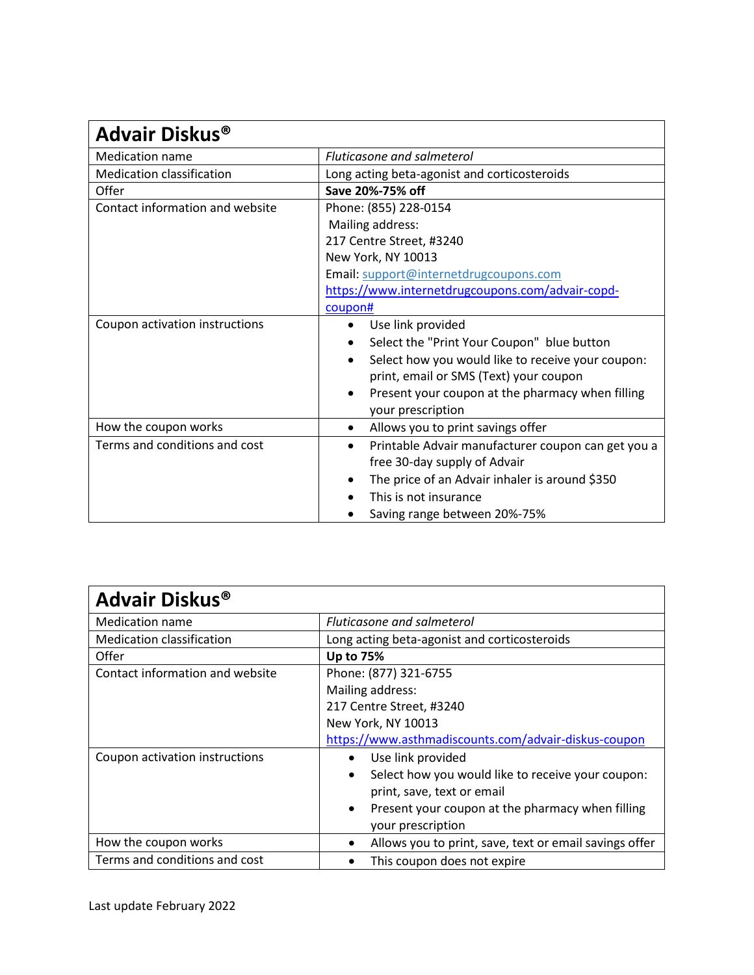| Advair Diskus <sup>®</sup>       |                                                    |  |
|----------------------------------|----------------------------------------------------|--|
| <b>Medication name</b>           | <b>Fluticasone and salmeterol</b>                  |  |
| <b>Medication classification</b> | Long acting beta-agonist and corticosteroids       |  |
| Offer                            | Save 20%-75% off                                   |  |
| Contact information and website  | Phone: (855) 228-0154                              |  |
|                                  | Mailing address:                                   |  |
|                                  | 217 Centre Street, #3240                           |  |
|                                  | New York, NY 10013                                 |  |
|                                  | Email: support@internetdrugcoupons.com             |  |
|                                  | https://www.internetdrugcoupons.com/advair-copd-   |  |
|                                  | coupon#                                            |  |
| Coupon activation instructions   | Use link provided<br>$\bullet$                     |  |
|                                  | Select the "Print Your Coupon" blue button         |  |
|                                  | Select how you would like to receive your coupon:  |  |
|                                  | print, email or SMS (Text) your coupon             |  |
|                                  | Present your coupon at the pharmacy when filling   |  |
|                                  | your prescription                                  |  |
| How the coupon works             | Allows you to print savings offer<br>$\bullet$     |  |
| Terms and conditions and cost    | Printable Advair manufacturer coupon can get you a |  |
|                                  | free 30-day supply of Advair                       |  |
|                                  | The price of an Advair inhaler is around \$350     |  |
|                                  | This is not insurance                              |  |
|                                  | Saving range between 20%-75%                       |  |

| Advair Diskus <sup>®</sup>       |                                                               |
|----------------------------------|---------------------------------------------------------------|
| <b>Medication name</b>           | Fluticasone and salmeterol                                    |
| <b>Medication classification</b> | Long acting beta-agonist and corticosteroids                  |
| Offer                            | <b>Up to 75%</b>                                              |
| Contact information and website  | Phone: (877) 321-6755                                         |
|                                  | Mailing address:                                              |
|                                  | 217 Centre Street, #3240                                      |
|                                  | New York, NY 10013                                            |
|                                  | https://www.asthmadiscounts.com/advair-diskus-coupon          |
| Coupon activation instructions   | Use link provided                                             |
|                                  | Select how you would like to receive your coupon:             |
|                                  | print, save, text or email                                    |
|                                  | Present your coupon at the pharmacy when filling<br>$\bullet$ |
|                                  | your prescription                                             |
| How the coupon works             | Allows you to print, save, text or email savings offer        |
| Terms and conditions and cost    | This coupon does not expire                                   |